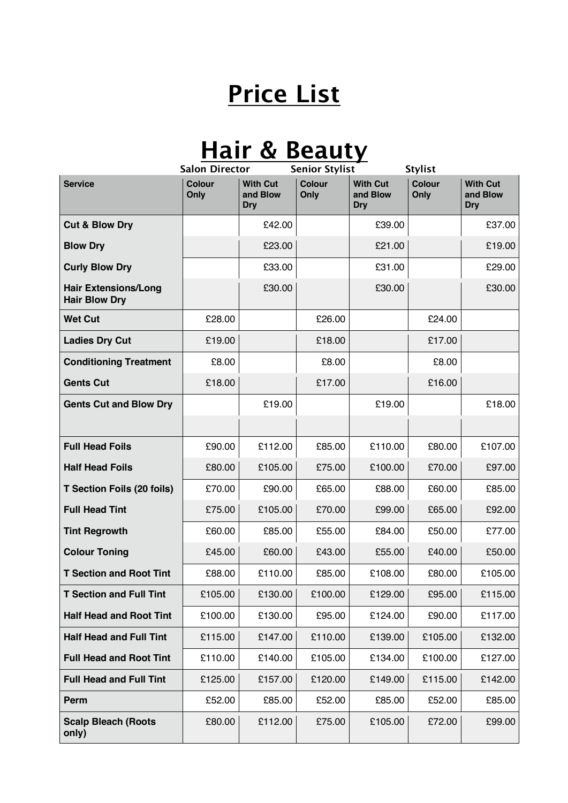## **Price List**

## **Hair & Beauty**

|                                                     | <b>Salon Director</b><br><b>Senior Stylist</b> |                                           | <b>Stylist</b>        |                                           |                       |                                           |
|-----------------------------------------------------|------------------------------------------------|-------------------------------------------|-----------------------|-------------------------------------------|-----------------------|-------------------------------------------|
| <b>Service</b>                                      | <b>Colour</b><br>Only                          | <b>With Cut</b><br>and Blow<br><b>Dry</b> | <b>Colour</b><br>Only | <b>With Cut</b><br>and Blow<br><b>Dry</b> | <b>Colour</b><br>Only | <b>With Cut</b><br>and Blow<br><b>Dry</b> |
| <b>Cut &amp; Blow Dry</b>                           |                                                | £42.00                                    |                       | £39.00                                    |                       | £37.00                                    |
| <b>Blow Dry</b>                                     |                                                | £23.00                                    |                       | £21.00                                    |                       | £19.00                                    |
| <b>Curly Blow Dry</b>                               |                                                | £33.00                                    |                       | £31.00                                    |                       | £29.00                                    |
| <b>Hair Extensions/Long</b><br><b>Hair Blow Dry</b> |                                                | £30.00                                    |                       | £30.00                                    |                       | £30.00                                    |
| <b>Wet Cut</b>                                      | £28.00                                         |                                           | £26.00                |                                           | £24.00                |                                           |
| <b>Ladies Dry Cut</b>                               | £19.00                                         |                                           | £18.00                |                                           | £17.00                |                                           |
| <b>Conditioning Treatment</b>                       | £8.00                                          |                                           | £8.00                 |                                           | £8.00                 |                                           |
| <b>Gents Cut</b>                                    | £18.00                                         |                                           | £17.00                |                                           | £16.00                |                                           |
| <b>Gents Cut and Blow Dry</b>                       |                                                | £19.00                                    |                       | £19.00                                    |                       | £18.00                                    |
|                                                     |                                                |                                           |                       |                                           |                       |                                           |
| <b>Full Head Foils</b>                              | £90.00                                         | £112.00                                   | £85.00                | £110.00                                   | £80.00                | £107.00                                   |
| <b>Half Head Foils</b>                              | £80.00                                         | £105.00                                   | £75.00                | £100.00                                   | £70.00                | £97.00                                    |
| <b>T Section Foils (20 foils)</b>                   | £70.00                                         | £90.00                                    | £65.00                | £88.00                                    | £60.00                | £85.00                                    |
| <b>Full Head Tint</b>                               | £75.00                                         | £105.00                                   | £70.00                | £99.00                                    | £65.00                | £92.00                                    |
| <b>Tint Regrowth</b>                                | £60.00                                         | £85.00                                    | £55.00                | £84.00                                    | £50.00                | £77.00                                    |
| <b>Colour Toning</b>                                | £45.00                                         | £60.00                                    | £43.00                | £55.00                                    | £40.00                | £50.00                                    |
| <b>T Section and Root Tint</b>                      | £88.00                                         | £110.00                                   | £85.00                | £108.00                                   | £80.00                | £105.00                                   |
| <b>T Section and Full Tint</b>                      | £105.00                                        | £130.00                                   | £100.00               | £129.00                                   | £95.00                | £115.00                                   |
| <b>Half Head and Root Tint</b>                      | £100.00                                        | £130.00                                   | £95.00                | £124.00                                   | £90.00                | £117.00                                   |
| <b>Half Head and Full Tint</b>                      | £115.00                                        | £147.00                                   | £110.00               | £139.00                                   | £105.00               | £132.00                                   |
| <b>Full Head and Root Tint</b>                      | £110.00                                        | £140.00                                   | £105.00               | £134.00                                   | £100.00               | £127.00                                   |
| <b>Full Head and Full Tint</b>                      | £125.00                                        | £157.00                                   | £120.00               | £149.00                                   | £115.00               | £142.00                                   |
| Perm                                                | £52.00                                         | £85.00                                    | £52.00                | £85.00                                    | £52.00                | £85.00                                    |
| <b>Scalp Bleach (Roots</b><br>only)                 | £80.00                                         | £112.00                                   | £75.00                | £105.00                                   | £72.00                | £99.00                                    |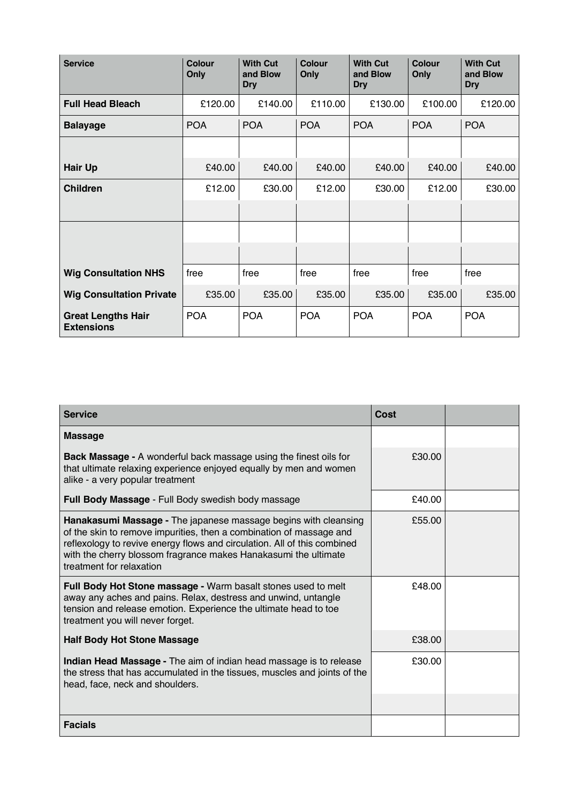| <b>Service</b>                                 | <b>Colour</b><br>Only | <b>With Cut</b><br>and Blow<br><b>Dry</b> | Colour<br>Only | <b>With Cut</b><br>and Blow<br><b>Dry</b> | Colour<br>Only | <b>With Cut</b><br>and Blow<br><b>Dry</b> |
|------------------------------------------------|-----------------------|-------------------------------------------|----------------|-------------------------------------------|----------------|-------------------------------------------|
| <b>Full Head Bleach</b>                        | £120.00               | £140.00                                   | £110.00        | £130.00                                   | £100.00        | £120.00                                   |
| <b>Balayage</b>                                | <b>POA</b>            | <b>POA</b>                                | <b>POA</b>     | <b>POA</b>                                | <b>POA</b>     | <b>POA</b>                                |
|                                                |                       |                                           |                |                                           |                |                                           |
| <b>Hair Up</b>                                 | £40.00                | £40.00                                    | £40.00         | £40.00                                    | £40.00         | £40.00                                    |
| <b>Children</b>                                | £12.00                | £30.00                                    | £12.00         | £30.00                                    | £12.00         | £30.00                                    |
|                                                |                       |                                           |                |                                           |                |                                           |
|                                                |                       |                                           |                |                                           |                |                                           |
|                                                |                       |                                           |                |                                           |                |                                           |
| <b>Wig Consultation NHS</b>                    | free                  | free                                      | free           | free                                      | free           | free                                      |
| <b>Wig Consultation Private</b>                | £35.00                | £35.00                                    | £35.00         | £35.00                                    | £35.00         | £35.00                                    |
| <b>Great Lengths Hair</b><br><b>Extensions</b> | <b>POA</b>            | <b>POA</b>                                | <b>POA</b>     | <b>POA</b>                                | <b>POA</b>     | <b>POA</b>                                |

| <b>Service</b>                                                                                                                                                                                                                                                                                                    | Cost   |  |
|-------------------------------------------------------------------------------------------------------------------------------------------------------------------------------------------------------------------------------------------------------------------------------------------------------------------|--------|--|
| <b>Massage</b>                                                                                                                                                                                                                                                                                                    |        |  |
| <b>Back Massage - A wonderful back massage using the finest oils for</b><br>that ultimate relaxing experience enjoyed equally by men and women<br>alike - a very popular treatment                                                                                                                                | £30.00 |  |
| Full Body Massage - Full Body swedish body massage                                                                                                                                                                                                                                                                | £40.00 |  |
| Hanakasumi Massage - The japanese massage begins with cleansing<br>of the skin to remove impurities, then a combination of massage and<br>reflexology to revive energy flows and circulation. All of this combined<br>with the cherry blossom fragrance makes Hanakasumi the ultimate<br>treatment for relaxation | £55.00 |  |
| Full Body Hot Stone massage - Warm basalt stones used to melt<br>away any aches and pains. Relax, destress and unwind, untangle<br>tension and release emotion. Experience the ultimate head to toe<br>treatment you will never forget.                                                                           | £48.00 |  |
| <b>Half Body Hot Stone Massage</b>                                                                                                                                                                                                                                                                                | £38.00 |  |
| Indian Head Massage - The aim of indian head massage is to release<br>the stress that has accumulated in the tissues, muscles and joints of the<br>head, face, neck and shoulders.                                                                                                                                | £30.00 |  |
|                                                                                                                                                                                                                                                                                                                   |        |  |
| <b>Facials</b>                                                                                                                                                                                                                                                                                                    |        |  |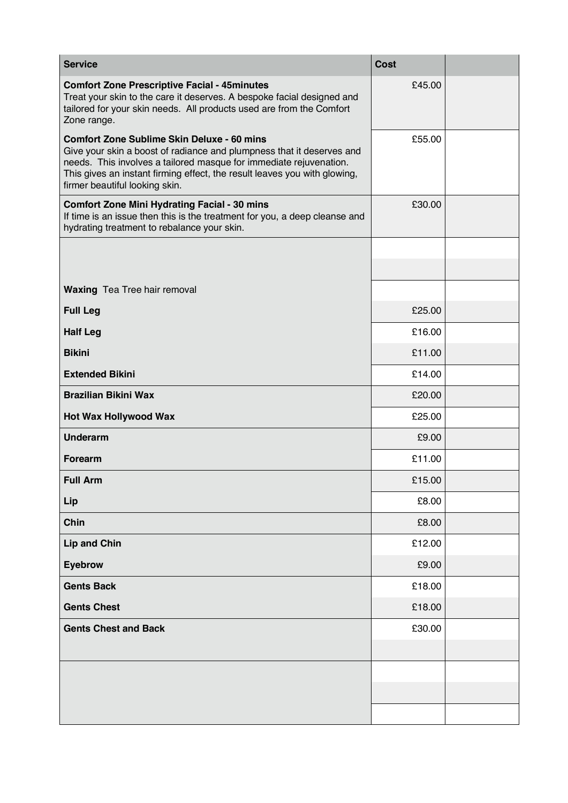| <b>Service</b>                                                                                                                                                                                                                                                                                                  | <b>Cost</b> |  |
|-----------------------------------------------------------------------------------------------------------------------------------------------------------------------------------------------------------------------------------------------------------------------------------------------------------------|-------------|--|
| <b>Comfort Zone Prescriptive Facial - 45minutes</b><br>Treat your skin to the care it deserves. A bespoke facial designed and<br>tailored for your skin needs. All products used are from the Comfort<br>Zone range.                                                                                            | £45.00      |  |
| <b>Comfort Zone Sublime Skin Deluxe - 60 mins</b><br>Give your skin a boost of radiance and plumpness that it deserves and<br>needs. This involves a tailored masque for immediate rejuvenation.<br>This gives an instant firming effect, the result leaves you with glowing,<br>firmer beautiful looking skin. | £55.00      |  |
| <b>Comfort Zone Mini Hydrating Facial - 30 mins</b><br>If time is an issue then this is the treatment for you, a deep cleanse and<br>hydrating treatment to rebalance your skin.                                                                                                                                | £30.00      |  |
|                                                                                                                                                                                                                                                                                                                 |             |  |
|                                                                                                                                                                                                                                                                                                                 |             |  |
| <b>Waxing</b> Tea Tree hair removal                                                                                                                                                                                                                                                                             |             |  |
| <b>Full Leg</b>                                                                                                                                                                                                                                                                                                 | £25.00      |  |
| <b>Half Leg</b>                                                                                                                                                                                                                                                                                                 | £16.00      |  |
| <b>Bikini</b>                                                                                                                                                                                                                                                                                                   | £11.00      |  |
| <b>Extended Bikini</b>                                                                                                                                                                                                                                                                                          | £14.00      |  |
| <b>Brazilian Bikini Wax</b>                                                                                                                                                                                                                                                                                     | £20.00      |  |
| <b>Hot Wax Hollywood Wax</b>                                                                                                                                                                                                                                                                                    | £25.00      |  |
| <b>Underarm</b>                                                                                                                                                                                                                                                                                                 | £9.00       |  |
| Forearm                                                                                                                                                                                                                                                                                                         | £11.00      |  |
| <b>Full Arm</b>                                                                                                                                                                                                                                                                                                 | £15.00      |  |
| Lip                                                                                                                                                                                                                                                                                                             | £8.00       |  |
| Chin                                                                                                                                                                                                                                                                                                            | £8.00       |  |
| <b>Lip and Chin</b>                                                                                                                                                                                                                                                                                             | £12.00      |  |
| <b>Eyebrow</b>                                                                                                                                                                                                                                                                                                  | £9.00       |  |
| <b>Gents Back</b>                                                                                                                                                                                                                                                                                               | £18.00      |  |
| <b>Gents Chest</b>                                                                                                                                                                                                                                                                                              | £18.00      |  |
| <b>Gents Chest and Back</b>                                                                                                                                                                                                                                                                                     | £30.00      |  |
|                                                                                                                                                                                                                                                                                                                 |             |  |
|                                                                                                                                                                                                                                                                                                                 |             |  |
|                                                                                                                                                                                                                                                                                                                 |             |  |
|                                                                                                                                                                                                                                                                                                                 |             |  |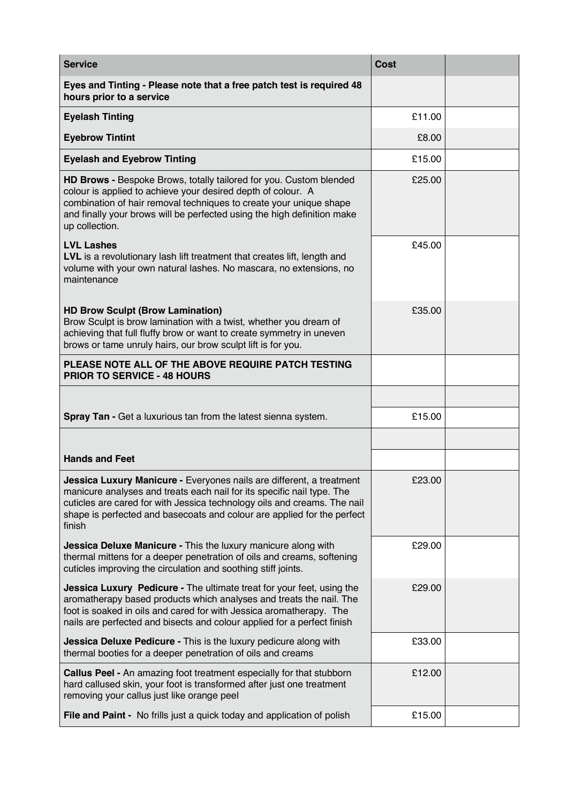| <b>Service</b>                                                                                                                                                                                                                                                                                                  | <b>Cost</b> |  |
|-----------------------------------------------------------------------------------------------------------------------------------------------------------------------------------------------------------------------------------------------------------------------------------------------------------------|-------------|--|
| Eyes and Tinting - Please note that a free patch test is required 48<br>hours prior to a service                                                                                                                                                                                                                |             |  |
| <b>Eyelash Tinting</b>                                                                                                                                                                                                                                                                                          | £11.00      |  |
| <b>Eyebrow Tintint</b>                                                                                                                                                                                                                                                                                          | £8.00       |  |
| <b>Eyelash and Eyebrow Tinting</b>                                                                                                                                                                                                                                                                              | £15.00      |  |
| HD Brows - Bespoke Brows, totally tailored for you. Custom blended<br>colour is applied to achieve your desired depth of colour. A<br>combination of hair removal techniques to create your unique shape<br>and finally your brows will be perfected using the high definition make<br>up collection.           | £25.00      |  |
| <b>LVL Lashes</b><br>LVL is a revolutionary lash lift treatment that creates lift, length and<br>volume with your own natural lashes. No mascara, no extensions, no<br>maintenance                                                                                                                              | £45.00      |  |
| <b>HD Brow Sculpt (Brow Lamination)</b><br>Brow Sculpt is brow lamination with a twist, whether you dream of<br>achieving that full fluffy brow or want to create symmetry in uneven<br>brows or tame unruly hairs, our brow sculpt lift is for you.                                                            | £35.00      |  |
| PLEASE NOTE ALL OF THE ABOVE REQUIRE PATCH TESTING<br><b>PRIOR TO SERVICE - 48 HOURS</b>                                                                                                                                                                                                                        |             |  |
|                                                                                                                                                                                                                                                                                                                 |             |  |
| Spray Tan - Get a luxurious tan from the latest sienna system.                                                                                                                                                                                                                                                  | £15.00      |  |
|                                                                                                                                                                                                                                                                                                                 |             |  |
| <b>Hands and Feet</b>                                                                                                                                                                                                                                                                                           |             |  |
| Jessica Luxury Manicure - Everyones nails are different, a treatment<br>manicure analyses and treats each nail for its specific nail type. The<br>cuticles are cared for with Jessica technology oils and creams. The nail<br>shape is perfected and basecoats and colour are applied for the perfect<br>finish | £23.00      |  |
| Jessica Deluxe Manicure - This the luxury manicure along with<br>thermal mittens for a deeper penetration of oils and creams, softening<br>cuticles improving the circulation and soothing stiff joints.                                                                                                        | £29.00      |  |
| Jessica Luxury Pedicure - The ultimate treat for your feet, using the<br>aromatherapy based products which analyses and treats the nail. The<br>foot is soaked in oils and cared for with Jessica aromatherapy. The<br>nails are perfected and bisects and colour applied for a perfect finish                  | £29.00      |  |
| Jessica Deluxe Pedicure - This is the luxury pedicure along with<br>thermal booties for a deeper penetration of oils and creams                                                                                                                                                                                 | £33.00      |  |
| <b>Callus Peel -</b> An amazing foot treatment especially for that stubborn<br>hard callused skin, your foot is transformed after just one treatment<br>removing your callus just like orange peel                                                                                                              | £12.00      |  |
| File and Paint - No frills just a quick today and application of polish                                                                                                                                                                                                                                         | £15.00      |  |